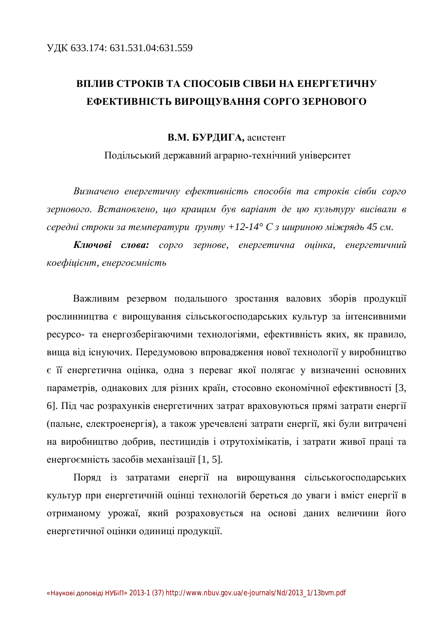### **ВПЛИВ СТРОКІВ ТА СПОСОБІВ СІВБИ НА ЕНЕРГЕТИЧНУ ЕФЕКТИВНІСТЬ ВИРОЩУВАННЯ СОРГО ЗЕРНОВОГО**

#### В.М. БУРДИГА, асистент

Подільський державний аграрно-технічний університет

Визначено енергетичну ефективність способів та строків сівби сорго зернового. Встановлено, що кращим був варіант де цю культуру висівали в  $cepe\partial\mu i$  *cmpoku за температури трунту* +12-14° *С* з шириною міжрядь 45 см.

Ключові слова: сорго зернове, енергетична оцінка, енергетичний  $$ 

Важливим резервом подальшого зростання валових зборів продукції рослинництва є вирощування сільськогосподарських культур за інтенсивними ресурсо- та енергозберігаючими технологіями, ефективність яких, як правило, вища від існуючих. Передумовою впровадження нової технології у виробництво є її енергетична оцінка, одна з переваг якої полягає у визначенні основних параметрів, однакових для різних країн, стосовно економічної ефективності [3, 6]. Під час розрахунків енергетичних затрат враховуються прямі затрати енергії (пальне, електроенергія), а також уречевлені затрати енергії, які були витрачені на виробництво добрив, пестицидів і отрутохімікатів, і затрати живої праці та енергоємність засобів механізації [1, 5].

Поряд із затратами енергії на вирощування сільськогосподарських культур при енергетичній оцінці технологій береться до уваги і вміст енергії в отриманому урожаї, який розраховується на основі даних величини його енергетичної оцінки одиниці продукції.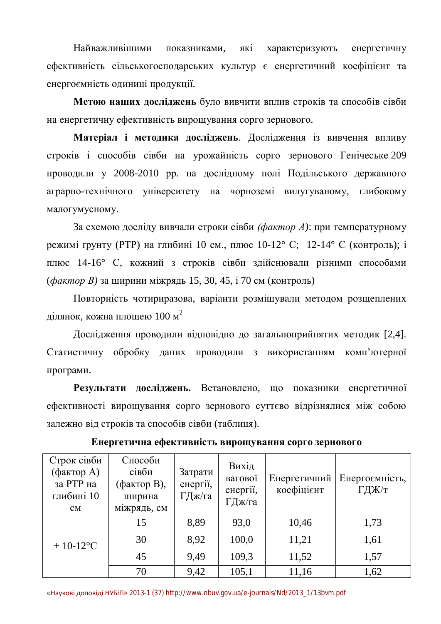Найважливішими показниками, які характеризують енергетичну ефективність сільськогосподарських культур є енергетичний коефіцієнт та енергоємність одиниці продукції.

**Метою наших досліджень** було вивчити вплив строків та способів сівби на енергетичну ефективність вирощування сорго зернового.

Матеріал і методика досліджень. Дослідження із вивчення впливу строків і способів сівби на урожайність сорго зернового Генічеське 209 проводили у 2008-2010 рр. на дослідному полі Подільського державного аграрно-технічного університету на чорноземі вилугуваному, глибокому малогумусному.

За схемою досліду вивчали строки сівби *(фактор А*): при температурному режимі ґрунту (РТР) на глибині 10 см., плюс 10-12° С; 12-14° С (контроль); і плюс 14-16° С, кожний з строків сівби здійснювали різними способами (*фактор В*) за ширини міжрядь 15, 30, 45, і 70 см (контроль)

Повторність чотириразова, варіанти розміщували методом розщеплених ділянок, кожна площею 100 м $^2$ 

Дослідження проводили відповідно до загальноприйнятих методик [2,4]. Статистичну обробку даних проводили з використанням комп'ютерної програми.

Результати досліджень. Встановлено, що показники енергетичної ефективності вирощування сорго зернового суттєво відрізнялися між собою залежно від строків та способів сівби (таблиця).

| Строк сівби<br>(фактор A)<br>за РТР на<br>глибині 10<br>CM | Способи<br>сівби<br>(фактор B),<br>ширина<br>міжрядь, см | Затрати<br>енергії,<br>ГДж/га | Вихід<br>вагової<br>енергії,<br>ГДж/га | Енергетичний<br>коефіцієнт | Енергоємність,<br>ГДЖ/т |
|------------------------------------------------------------|----------------------------------------------------------|-------------------------------|----------------------------------------|----------------------------|-------------------------|
| $+10-12$ °C                                                | 15                                                       | 8,89                          | 93,0                                   | 10,46                      | 1,73                    |
|                                                            | 30                                                       | 8,92                          | 100,0                                  | 11,21                      | 1,61                    |
|                                                            | 45                                                       | 9,49                          | 109,3                                  | 11,52                      | 1,57                    |
|                                                            | 70                                                       | 9,42                          | 105,1                                  | 11,16                      | 1,62                    |

**Енергетична ефективність вирощування сорго зернового** 

«Наукові доповіді НУБіП» 2013-1 (37) [http://www.nbuv.gov.ua/e-journals/Nd/2013\\_1/13bvm.pdf](http://www.nbuv.gov.ua/e-journals/Nd/2013_1/13bvm.pdf)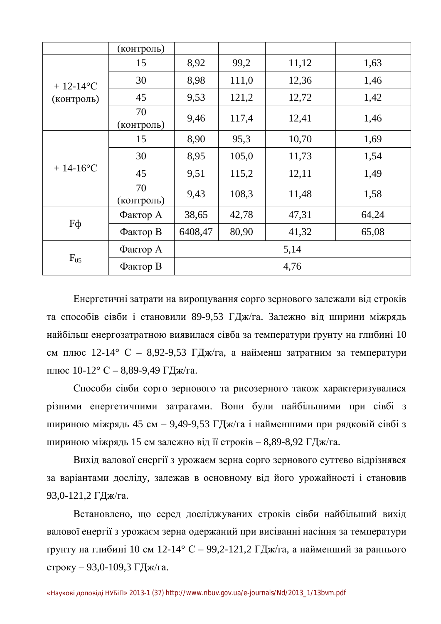|                              | (контроль)       |         |       |       |       |  |
|------------------------------|------------------|---------|-------|-------|-------|--|
| $+ 12 - 14$ °C<br>(контроль) | 15               | 8,92    | 99,2  | 11,12 | 1,63  |  |
|                              | 30               | 8,98    | 111,0 | 12,36 | 1,46  |  |
|                              | 45               | 9,53    | 121,2 | 12,72 | 1,42  |  |
|                              | 70<br>(контроль) | 9,46    | 117,4 | 12,41 | 1,46  |  |
| $+ 14 - 16$ °C               | 15               | 8,90    | 95,3  | 10,70 | 1,69  |  |
|                              | 30               | 8,95    | 105,0 | 11,73 | 1,54  |  |
|                              | 45               | 9,51    | 115,2 | 12,11 | 1,49  |  |
|                              | 70<br>(контроль) | 9,43    | 108,3 | 11,48 | 1,58  |  |
| Fф                           | Фактор А         | 38,65   | 42,78 | 47,31 | 64,24 |  |
|                              | Фактор В         | 6408,47 | 80,90 | 41,32 | 65,08 |  |
| $F_{05}$                     | Фактор А         | 5,14    |       |       |       |  |
|                              | Фактор В         | 4,76    |       |       |       |  |

Енергетичні затрати на вирощування сорго зернового залежали від строків та способів сівби і становили 89-9,53 ГДж/га. Залежно від ширини міжрядь найбільш енергозатратною виявилася сівба за температури ґрунту на глибині 10 см плюс 12-14° С – 8,92-9,53 ГДж/га, а найменш затратним за температури плюс 10-12° С – 8,89-9,49 ГДж/га.

Способи сівби сорго зернового та рисозерного також характеризувалися різними енергетичними затратами. Вони були найбільшими при сівбі з шириною міжрядь 45 см – 9,49-9,53 ГДж/га і найменшими при рядковій сівбі з шириною міжрядь 15 см залежно від її строків – 8,89-8,92 ГДж/га.

Вихід валової енергії з урожаєм зерна сорго зернового суттєво відрізнявся за варіантами досліду, залежав в основному від його урожайності і становив 93,0-121,2 ГДж/га.

Встановлено, що серед досліджуваних строків сівби найбільший вихід валової енергії з урожаєм зерна одержаний при висіванні насіння за температури грунту на глибині 10 см 12-14° С – 99,2-121,2 ГДж/га, а найменший за раннього строку – 93,0-109,3 ГДж/га.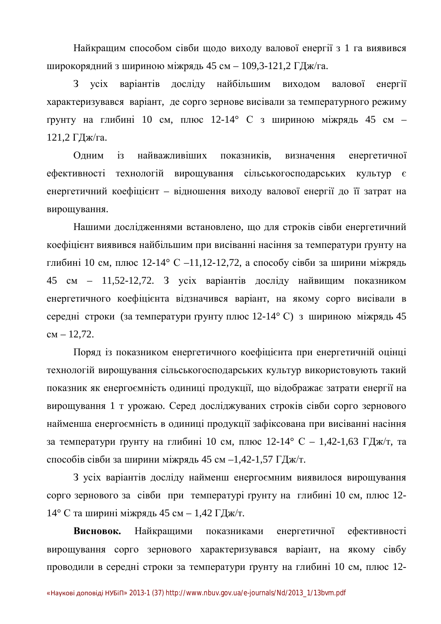Найкращим способом сівби щодо виходу валової енергії з 1 га виявився широкорядний з шириною міжрядь 45 см – 109,3-121,2 ГДж/га.

З усіх варіантів досліду найбільшим виходом валової енергії характеризувався варіант, де сорго зернове висівали за температурного режиму грунту на глибині 10 см, плюс 12-14° С з шириною міжрядь 45 см -121,2 ГДж/га.

Одним із найважливіших показників, визначення енергетичної ефективності технологій вирощування сільськогосподарських культур є енергетичний коефіцієнт – відношення виходу валової енергії до її затрат на вирощування.

Нашими дослідженнями встановлено, що для строків сівби енергетичний коефіцієнт виявився найбільшим при висіванні насіння за температури ґрунту на глибині 10 см, плюс 12-14° С –11,12-12,72, а способу сівби за ширини міжрядь 45 см – 11,52-12,72. З усіх варіантів досліду найвищим показником енергетичного коефіцієнта відзначився варіант, на якому сорго висівали в середні строки (за температури ґрунту плюс 12-14° С) з шириною міжрядь 45  $cm - 12,72.$ 

Поряд із показником енергетичного коефіцієнта при енергетичній оцінці технологій вирощування сільськогосподарських культур використовують такий показник як енергоємність одиниці продукції, що відображає затрати енергії на вирощування 1 т урожаю. Серед досліджуваних строків сівби сорго зернового найменша енергоємність в одиниці продукції зафіксована при висіванні насіння за температури ґрунту на глибині 10 см, плюс 12-14° С – 1,42-1,63 ГДж/т, та способів сівби за ширини міжрядь 45 см –1,42-1,57 ГДж/т.

З усіх варіантів досліду найменш енергоємним виявилося вирощування сорго зернового за сівби при температурі ґрунту на глибині 10 см, плюс 12-14° С та ширині міжрядь 45 см – 1,42 ГДж/т.

Висновок. Найкращими показниками енергетичної ефективності вирощування сорго зернового характеризувався варіант, на якому сівбу проводили в середні строки за температури ґрунту на глибині 10 см, плюс 12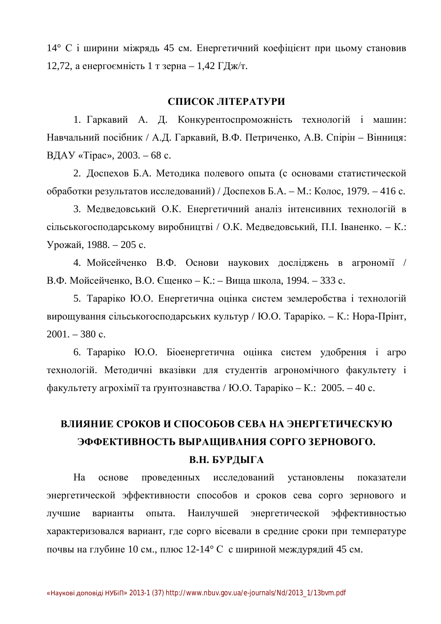14° С і ширини міжрядь 45 см. Енергетичний коефіцієнт при цьому становив 12,72, а енергоємність 1 т зерна – 1,42 ГДж/т.

#### СПИСОК ЛІТЕРАТУРИ

1. Гаркавий А. Д. Конкурентоспроможність технологій і машин: Навчальний посібник / А.Д. Гаркавий, В.Ф. Петриченко, А.В. Спірін – Вінниця: ВДАУ «Тірас», 2003. – 68 с.

2. Доспехов Б.А. Методика полевого опыта (с основами статистической обработки результатов исследований) / Доспехов Б.А. – М.: Колос, 1979. – 416 с.

3. Медведовський О.К. Енергетичний аналіз інтенсивних технологій в сільськогосподарському виробництві / О.К. Медведовський, П.І. Іваненко. – К.: Урожай, 1988. – 205 с.

4. Мойсейченко В.Ф. Основи наукових досліджень в агрономії / В.Ф. Мойсейченко, В.О. Єщенко – К.: – Вища школа, 1994. – 333 с.

5. Тараріко Ю.О. Енергетична оцінка систем землеробства і технологій вирощування сільськогосподарських культур / Ю.О. Тараріко. – К.: Нора-Прінт,  $2001. - 380$  c.

6. Тараріко Ю.О. Біоенергетична оцінка систем удобрення і агро технологій. Методичні вказівки для студентів агрономічного факультету і  $\alpha$ акультету агрохімії та ґрунтознавства / Ю.О. Тараріко – К.: 2005. – 40 с.

## ВЛИЯНИЕ СРОКОВ И СПОСОБОВ СЕВА НА ЭНЕРГЕТИЧЕСКУЮ ЭФФЕКТИВНОСТЬ ВЫРАШИВАНИЯ СОРГО ЗЕРНОВОГО. **В.Н. БУРДЫГА**

На основе проведенных исследований установлены показатели энергетической эффективности способов и сроков сева сорго зернового и лучшие варианты опыта. Наилучшей энергетической эффективностью характеризовался вариант, где сорго вісевали в средние сроки при температуре почвы на глубине 10 см., плюс 12-14° С с шириной междурядий 45 см.